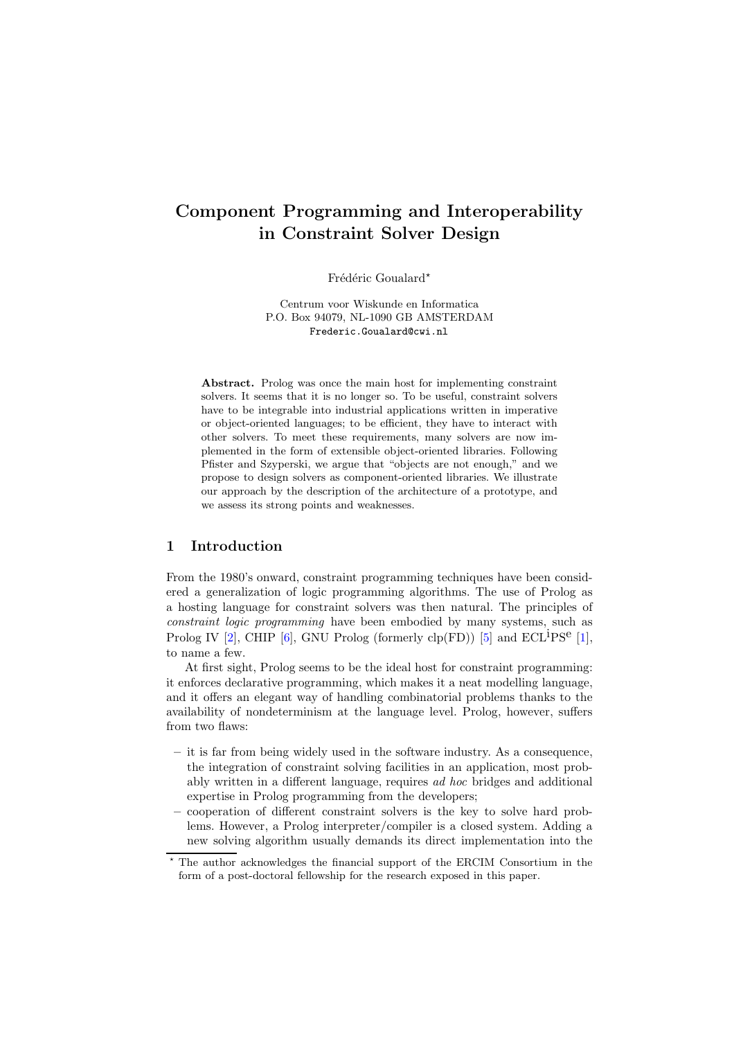# Component Programming and Interoperability in Constraint Solver Design

Frédéric Goualard\*

Centrum voor Wiskunde en Informatica P.O. Box 94079, NL-1090 GB AMSTERDAM Frederic.Goualard@cwi.nl

Abstract. Prolog was once the main host for implementing constraint solvers. It seems that it is no longer so. To be useful, constraint solvers have to be integrable into industrial applications written in imperative or object-oriented languages; to be efficient, they have to interact with other solvers. To meet these requirements, many solvers are now implemented in the form of extensible object-oriented libraries. Following Pfister and Szyperski, we argue that "objects are not enough," and we propose to design solvers as component-oriented libraries. We illustrate our approach by the description of the architecture of a prototype, and we assess its strong points and weaknesses.

# 1 Introduction

From the 1980's onward, constraint programming techniques have been considered a generalization of logic programming algorithms. The use of Prolog as a hosting language for constraint solvers was then natural. The principles of constraint logic programming have been embodied by many systems, such as Prolog IV [\[2\]](#page-9-0), CHIP [\[6\]](#page-9-1), GNU Prolog (formerly  $\text{clp}(\text{FD}))$  [\[5\]](#page-9-2) and  $\text{ECL}^{\text{i}}\text{PS}^{\text{e}}$  [\[1\]](#page-9-3), to name a few.

At first sight, Prolog seems to be the ideal host for constraint programming: it enforces declarative programming, which makes it a neat modelling language, and it offers an elegant way of handling combinatorial problems thanks to the availability of nondeterminism at the language level. Prolog, however, suffers from two flaws:

- $-$  it is far from being widely used in the software industry. As a consequence, the integration of constraint solving facilities in an application, most probably written in a different language, requires ad hoc bridges and additional expertise in Prolog programming from the developers;
- cooperation of different constraint solvers is the key to solve hard problems. However, a Prolog interpreter/compiler is a closed system. Adding a new solving algorithm usually demands its direct implementation into the

<sup>?</sup> The author acknowledges the financial support of the ERCIM Consortium in the form of a post-doctoral fellowship for the research exposed in this paper.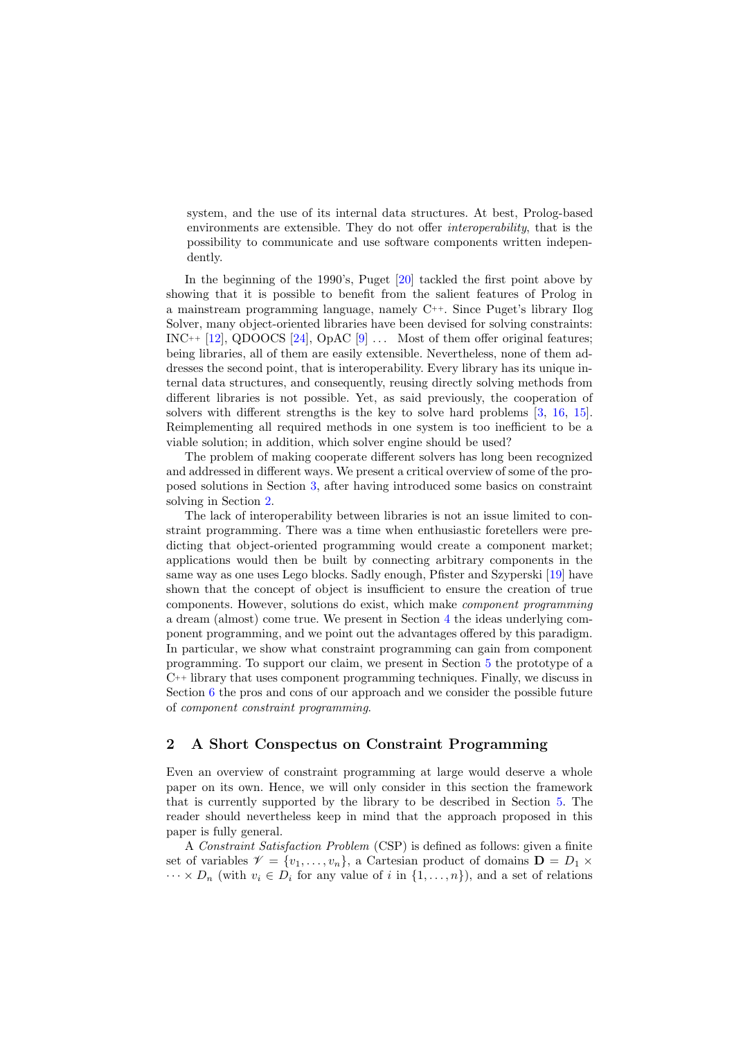system, and the use of its internal data structures. At best, Prolog-based environments are extensible. They do not offer interoperability, that is the possibility to communicate and use software components written independently.

In the beginning of the 1990's, Puget [\[20\]](#page-10-0) tackled the first point above by showing that it is possible to benefit from the salient features of Prolog in a mainstream programming language, namely C++. Since Puget's library Ilog Solver, many object-oriented libraries have been devised for solving constraints: INC++  $[12]$ , QDOOCS  $[24]$ , OpAC  $[9]$  ... Most of them offer original features; being libraries, all of them are easily extensible. Nevertheless, none of them addresses the second point, that is interoperability. Every library has its unique internal data structures, and consequently, reusing directly solving methods from different libraries is not possible. Yet, as said previously, the cooperation of solvers with different strengths is the key to solve hard problems [\[3,](#page-9-5) [16,](#page-10-3) [15\]](#page-10-4). Reimplementing all required methods in one system is too inefficient to be a viable solution; in addition, which solver engine should be used?

The problem of making cooperate different solvers has long been recognized and addressed in different ways. We present a critical overview of some of the proposed solutions in Section [3,](#page-3-0) after having introduced some basics on constraint solving in Section [2.](#page-1-0)

The lack of interoperability between libraries is not an issue limited to constraint programming. There was a time when enthusiastic foretellers were predicting that object-oriented programming would create a component market; applications would then be built by connecting arbitrary components in the same way as one uses Lego blocks. Sadly enough, Pfister and Szyperski [\[19\]](#page-10-5) have shown that the concept of object is insufficient to ensure the creation of true components. However, solutions do exist, which make component programming a dream (almost) come true. We present in Section [4](#page-4-0) the ideas underlying component programming, and we point out the advantages offered by this paradigm. In particular, we show what constraint programming can gain from component programming. To support our claim, we present in Section [5](#page-5-0) the prototype of a  $C^{++}$  library that uses component programming techniques. Finally, we discuss in Section [6](#page-7-0) the pros and cons of our approach and we consider the possible future of component constraint programming.

#### <span id="page-1-0"></span>2 A Short Conspectus on Constraint Programming

Even an overview of constraint programming at large would deserve a whole paper on its own. Hence, we will only consider in this section the framework that is currently supported by the library to be described in Section [5.](#page-5-0) The reader should nevertheless keep in mind that the approach proposed in this paper is fully general.

A Constraint Satisfaction Problem (CSP) is defined as follows: given a finite set of variables  $\mathcal{V} = \{v_1, \ldots, v_n\}$ , a Cartesian product of domains  $\mathbf{D} = D_1 \times$  $\cdots \times D_n$  (with  $v_i \in D_i$  for any value of i in  $\{1, \ldots, n\}$ ), and a set of relations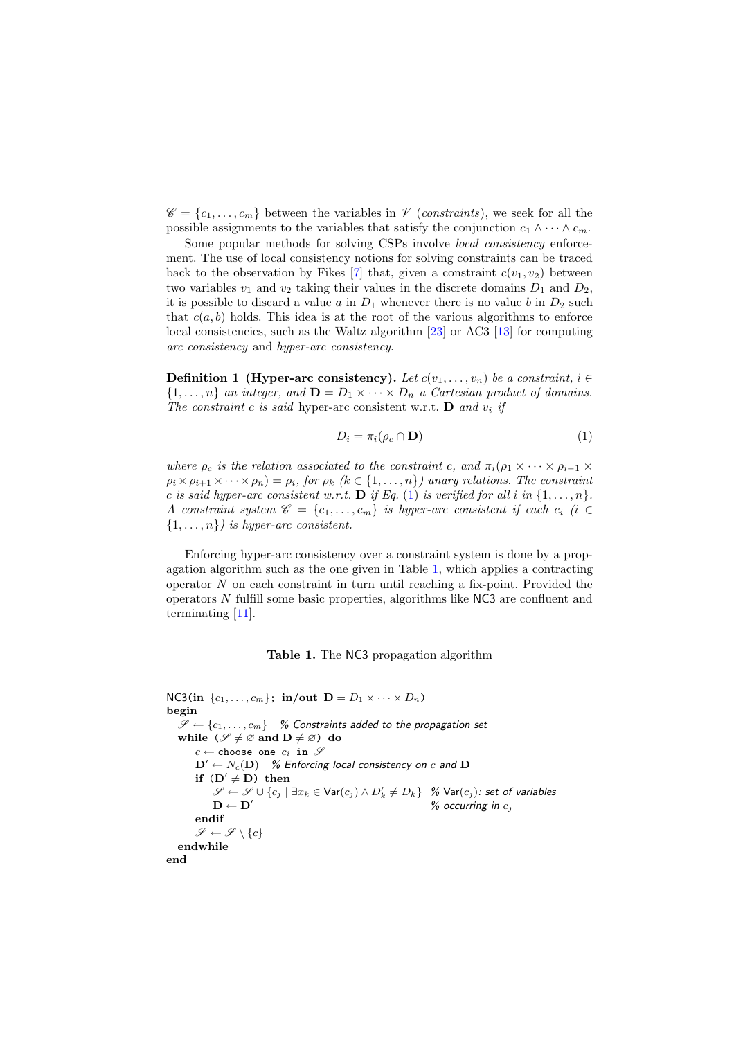$\mathscr{C} = \{c_1, \ldots, c_m\}$  between the variables in  $\mathscr{V}$  (constraints), we seek for all the possible assignments to the variables that satisfy the conjunction  $c_1 \wedge \cdots \wedge c_m$ .

Some popular methods for solving CSPs involve local consistency enforcement. The use of local consistency notions for solving constraints can be traced back to the observation by Fikes [\[7\]](#page-9-6) that, given a constraint  $c(v_1, v_2)$  between two variables  $v_1$  and  $v_2$  taking their values in the discrete domains  $D_1$  and  $D_2$ , it is possible to discard a value  $a$  in  $D_1$  whenever there is no value  $b$  in  $D_2$  such that  $c(a, b)$  holds. This idea is at the root of the various algorithms to enforce local consistencies, such as the Waltz algorithm [\[23\]](#page-10-6) or AC3 [\[13\]](#page-10-7) for computing arc consistency and hyper-arc consistency.

**Definition 1 (Hyper-arc consistency).** Let  $c(v_1, \ldots, v_n)$  be a constraint,  $i \in$  $\{1,\ldots,n\}$  an integer, and  $\mathbf{D}=D_1\times\cdots\times D_n$  a Cartesian product of domains. The constraint c is said hyper-arc consistent w.r.t. **D** and  $v_i$  if

<span id="page-2-0"></span>
$$
D_i = \pi_i(\rho_c \cap \mathbf{D}) \tag{1}
$$

where  $\rho_c$  is the relation associated to the constraint c, and  $\pi_i(\rho_1 \times \cdots \times \rho_{i-1} \times$  $\rho_i \times \rho_{i+1} \times \cdots \times \rho_n = \rho_i$ , for  $\rho_k$  ( $k \in \{1, \ldots, n\}$ ) unary relations. The constraint c is said hyper-arc consistent w.r.t. **D** if Eq. [\(1\)](#page-2-0) is verified for all i in  $\{1, \ldots, n\}$ . A constraint system  $\mathscr{C} = \{c_1, \ldots, c_m\}$  is hyper-arc consistent if each  $c_i$  (i  $\in$  $\{1, \ldots, n\}$  is hyper-arc consistent.

Enforcing hyper-arc consistency over a constraint system is done by a propagation algorithm such as the one given in Table [1,](#page-2-1) which applies a contracting operator  $N$  on each constraint in turn until reaching a fix-point. Provided the operators N fulfill some basic properties, algorithms like NC3 are confluent and terminating [\[11\]](#page-9-7).

# <span id="page-2-1"></span>Table 1. The NC3 propagation algorithm

```
NC3(in \{c_1, \ldots, c_m\}; in/out D = D_1 \times \cdots \times D_n)
begin
   \mathscr{S} \leftarrow \{c_1, \ldots, c_m\} % Constraints added to the propagation set
   while (\mathscr{S} \neq \emptyset \text{ and } D \neq \emptyset) do
        c \leftarrow choose one c_i in \mathscr{S}\mathbf{D}' \leftarrow N_c(\mathbf{D}) % Enforcing local consistency on c and D
         if (D' \neq D) then
              \mathscr{S} \leftarrow \mathscr{S} \cup \{c_j \mid \exists x_k \in \mathsf{Var}(c_j) \land D'_k \neq D_k\} % \mathsf{Var}(c_j): set of variables
              \mathbf{D} \leftarrow \mathbf{D}' % occurring in c_iendif
        \mathscr{S} \leftarrow \mathscr{S} \setminus \{c\}endwhile
end
```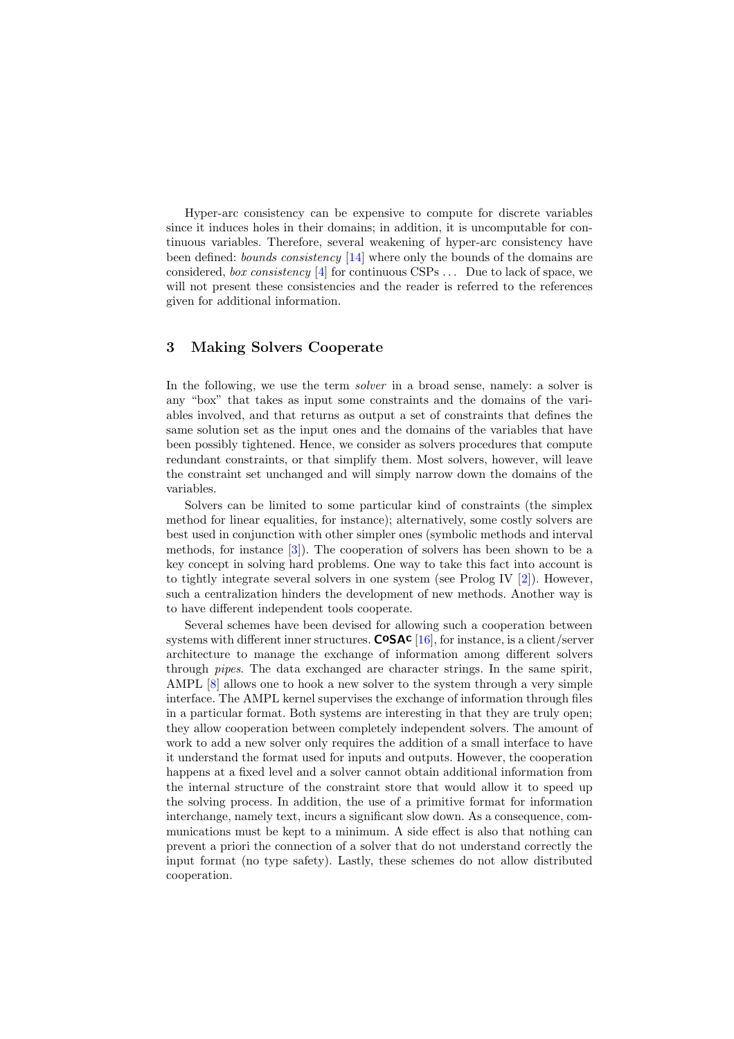Hyper-arc consistency can be expensive to compute for discrete variables since it induces holes in their domains; in addition, it is uncomputable for continuous variables. Therefore, several weakening of hyper-arc consistency have been defined: *bounds consistency* [\[14\]](#page-10-8) where only the bounds of the domains are considered, *box consistency* [\[4\]](#page-9-8) for continuous CSPs  $\dots$  Due to lack of space, we will not present these consistencies and the reader is referred to the references given for additional information.

#### <span id="page-3-0"></span>3 Making Solvers Cooperate

In the following, we use the term *solver* in a broad sense, namely: a solver is any "box" that takes as input some constraints and the domains of the variables involved, and that returns as output a set of constraints that defines the same solution set as the input ones and the domains of the variables that have been possibly tightened. Hence, we consider as solvers procedures that compute redundant constraints, or that simplify them. Most solvers, however, will leave the constraint set unchanged and will simply narrow down the domains of the variables.

Solvers can be limited to some particular kind of constraints (the simplex method for linear equalities, for instance); alternatively, some costly solvers are best used in conjunction with other simpler ones (symbolic methods and interval methods, for instance [\[3\]](#page-9-5)). The cooperation of solvers has been shown to be a key concept in solving hard problems. One way to take this fact into account is to tightly integrate several solvers in one system (see Prolog IV  $[2]$ ). However, such a centralization hinders the development of new methods. Another way is to have different independent tools cooperate.

Several schemes have been devised for allowing such a cooperation between systems with different inner structures.  $\text{CoSAC}$  [\[16\]](#page-10-3), for instance, is a client/server architecture to manage the exchange of information among different solvers through pipes. The data exchanged are character strings. In the same spirit, AMPL [\[8\]](#page-9-9) allows one to hook a new solver to the system through a very simple interface. The AMPL kernel supervises the exchange of information through files in a particular format. Both systems are interesting in that they are truly open; they allow cooperation between completely independent solvers. The amount of work to add a new solver only requires the addition of a small interface to have it understand the format used for inputs and outputs. However, the cooperation happens at a fixed level and a solver cannot obtain additional information from the internal structure of the constraint store that would allow it to speed up the solving process. In addition, the use of a primitive format for information interchange, namely text, incurs a significant slow down. As a consequence, communications must be kept to a minimum. A side effect is also that nothing can prevent a priori the connection of a solver that do not understand correctly the input format (no type safety). Lastly, these schemes do not allow distributed cooperation.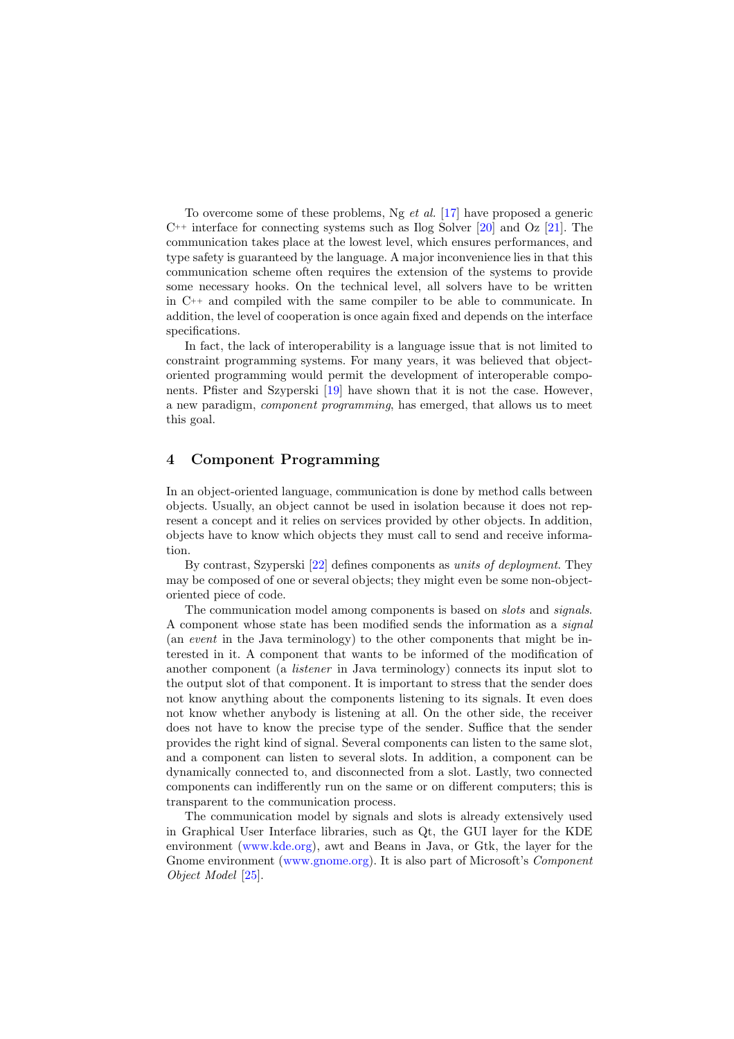To overcome some of these problems, Ng et al. [\[17\]](#page-10-9) have proposed a generic  $C^{++}$  interface for connecting systems such as Ilog Solver [\[20\]](#page-10-0) and Oz [\[21\]](#page-10-10). The communication takes place at the lowest level, which ensures performances, and type safety is guaranteed by the language. A major inconvenience lies in that this communication scheme often requires the extension of the systems to provide some necessary hooks. On the technical level, all solvers have to be written in C++ and compiled with the same compiler to be able to communicate. In addition, the level of cooperation is once again fixed and depends on the interface specifications.

In fact, the lack of interoperability is a language issue that is not limited to constraint programming systems. For many years, it was believed that objectoriented programming would permit the development of interoperable components. Pfister and Szyperski [\[19\]](#page-10-5) have shown that it is not the case. However, a new paradigm, component programming, has emerged, that allows us to meet this goal.

### <span id="page-4-0"></span>4 Component Programming

In an object-oriented language, communication is done by method calls between objects. Usually, an object cannot be used in isolation because it does not represent a concept and it relies on services provided by other objects. In addition, objects have to know which objects they must call to send and receive information.

By contrast, Szyperski [\[22\]](#page-10-11) defines components as units of deployment. They may be composed of one or several objects; they might even be some non-objectoriented piece of code.

The communication model among components is based on slots and signals. A component whose state has been modified sends the information as a signal (an event in the Java terminology) to the other components that might be interested in it. A component that wants to be informed of the modification of another component (a listener in Java terminology) connects its input slot to the output slot of that component. It is important to stress that the sender does not know anything about the components listening to its signals. It even does not know whether anybody is listening at all. On the other side, the receiver does not have to know the precise type of the sender. Suffice that the sender provides the right kind of signal. Several components can listen to the same slot, and a component can listen to several slots. In addition, a component can be dynamically connected to, and disconnected from a slot. Lastly, two connected components can indifferently run on the same or on different computers; this is transparent to the communication process.

The communication model by signals and slots is already extensively used in Graphical User Interface libraries, such as Qt, the GUI layer for the KDE environment [\(www.kde.org\)](file:www.kde.org), awt and Beans in Java, or Gtk, the layer for the Gnome environment [\(www.gnome.org\)](file:www.gnome.org). It is also part of Microsoft's Component Object Model [\[25\]](#page-10-12).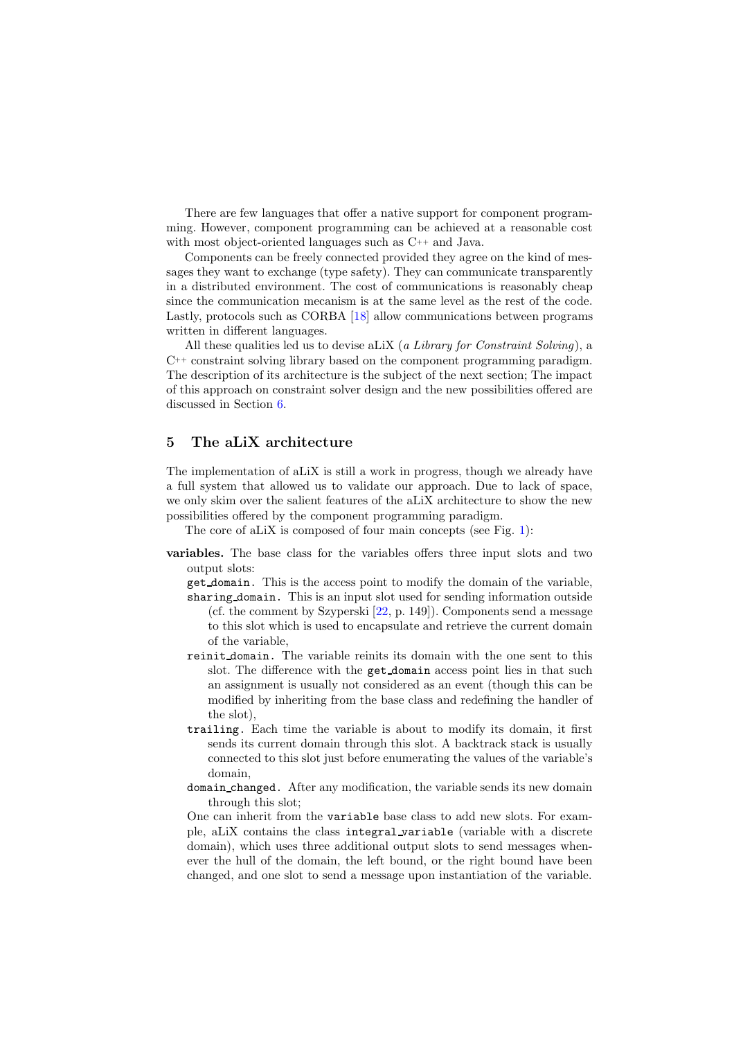There are few languages that offer a native support for component programming. However, component programming can be achieved at a reasonable cost with most object-oriented languages such as C++ and Java.

Components can be freely connected provided they agree on the kind of messages they want to exchange (type safety). They can communicate transparently in a distributed environment. The cost of communications is reasonably cheap since the communication mecanism is at the same level as the rest of the code. Lastly, protocols such as CORBA [\[18\]](#page-10-13) allow communications between programs written in different languages.

All these qualities led us to devise aLiX (a Library for Constraint Solving), a C++ constraint solving library based on the component programming paradigm. The description of its architecture is the subject of the next section; The impact of this approach on constraint solver design and the new possibilities offered are discussed in Section [6.](#page-7-0)

# <span id="page-5-0"></span>5 The aLiX architecture

The implementation of aLiX is still a work in progress, though we already have a full system that allowed us to validate our approach. Due to lack of space, we only skim over the salient features of the aLiX architecture to show the new possibilities offered by the component programming paradigm.

The core of aLiX is composed of four main concepts (see Fig. [1\)](#page-7-1):

- variables. The base class for the variables offers three input slots and two output slots:
	- get domain. This is the access point to modify the domain of the variable, sharing domain. This is an input slot used for sending information outside (cf. the comment by Szyperski [\[22,](#page-10-11) p. 149]). Components send a message to this slot which is used to encapsulate and retrieve the current domain of the variable,
	- reinit domain. The variable reinits its domain with the one sent to this slot. The difference with the get domain access point lies in that such an assignment is usually not considered as an event (though this can be modified by inheriting from the base class and redefining the handler of the slot),
	- trailing. Each time the variable is about to modify its domain, it first sends its current domain through this slot. A backtrack stack is usually connected to this slot just before enumerating the values of the variable's domain,
	- domain changed. After any modification, the variable sends its new domain through this slot;

One can inherit from the variable base class to add new slots. For example, aLiX contains the class integral variable (variable with a discrete domain), which uses three additional output slots to send messages whenever the hull of the domain, the left bound, or the right bound have been changed, and one slot to send a message upon instantiation of the variable.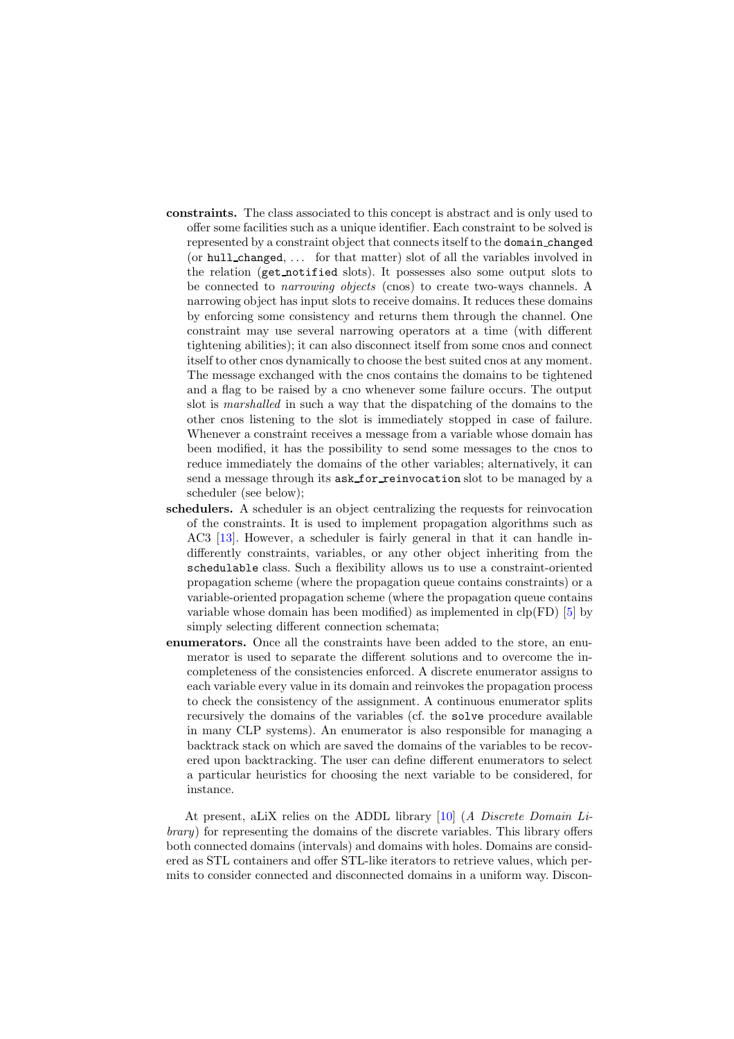- constraints. The class associated to this concept is abstract and is only used to offer some facilities such as a unique identifier. Each constraint to be solved is represented by a constraint object that connects itself to the domain changed (or hull changed, . . . for that matter) slot of all the variables involved in the relation (get notified slots). It possesses also some output slots to be connected to narrowing objects (cnos) to create two-ways channels. A narrowing object has input slots to receive domains. It reduces these domains by enforcing some consistency and returns them through the channel. One constraint may use several narrowing operators at a time (with different tightening abilities); it can also disconnect itself from some cnos and connect itself to other cnos dynamically to choose the best suited cnos at any moment. The message exchanged with the cnos contains the domains to be tightened and a flag to be raised by a cno whenever some failure occurs. The output slot is marshalled in such a way that the dispatching of the domains to the other cnos listening to the slot is immediately stopped in case of failure. Whenever a constraint receives a message from a variable whose domain has been modified, it has the possibility to send some messages to the cnos to reduce immediately the domains of the other variables; alternatively, it can send a message through its ask\_for\_reinvocation slot to be managed by a scheduler (see below);
- schedulers. A scheduler is an object centralizing the requests for reinvocation of the constraints. It is used to implement propagation algorithms such as AC3 [\[13\]](#page-10-7). However, a scheduler is fairly general in that it can handle indifferently constraints, variables, or any other object inheriting from the schedulable class. Such a flexibility allows us to use a constraint-oriented propagation scheme (where the propagation queue contains constraints) or a variable-oriented propagation scheme (where the propagation queue contains variable whose domain has been modified) as implemented in  $\text{clp}(\text{FD})$  [\[5\]](#page-9-2) by simply selecting different connection schemata;
- enumerators. Once all the constraints have been added to the store, an enumerator is used to separate the different solutions and to overcome the incompleteness of the consistencies enforced. A discrete enumerator assigns to each variable every value in its domain and reinvokes the propagation process to check the consistency of the assignment. A continuous enumerator splits recursively the domains of the variables (cf. the solve procedure available in many CLP systems). An enumerator is also responsible for managing a backtrack stack on which are saved the domains of the variables to be recovered upon backtracking. The user can define different enumerators to select a particular heuristics for choosing the next variable to be considered, for instance.

At present, aLiX relies on the ADDL library [\[10\]](#page-9-10) (A Discrete Domain Library) for representing the domains of the discrete variables. This library offers both connected domains (intervals) and domains with holes. Domains are considered as STL containers and offer STL-like iterators to retrieve values, which permits to consider connected and disconnected domains in a uniform way. Discon-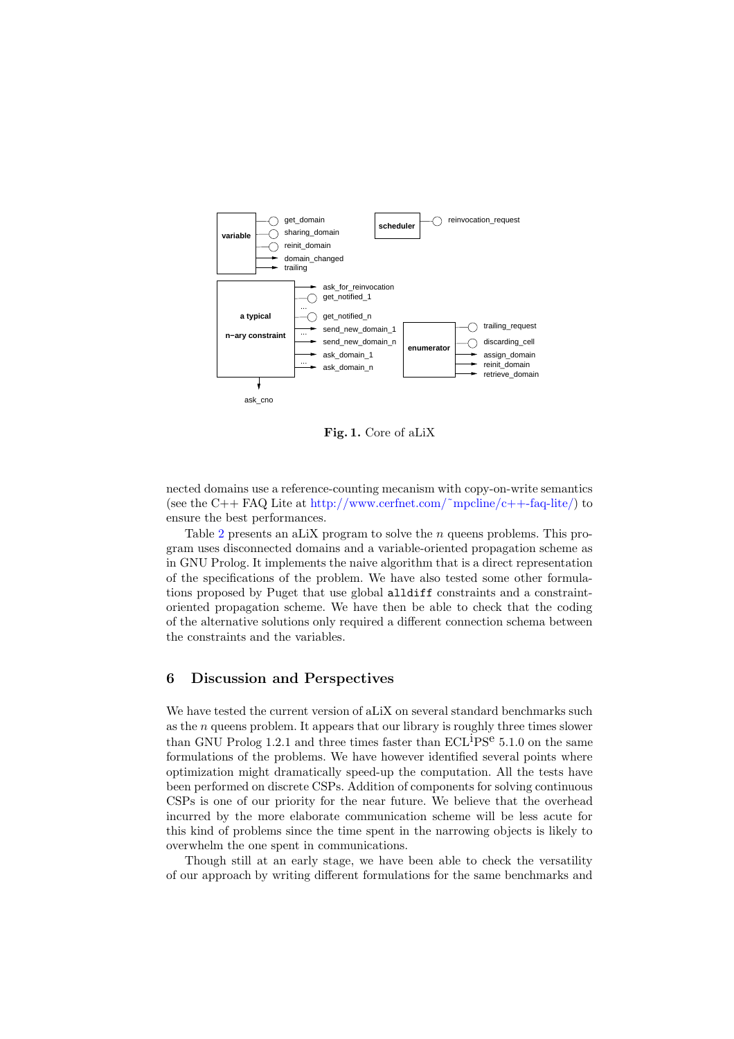

<span id="page-7-1"></span>Fig. 1. Core of aLiX

nected domains use a reference-counting mecanism with copy-on-write semantics (see the C++ FAQ Lite at http://www.cerfnet.com/~mpcline/c++-faq-lite/) to ensure the best performances.

Table [2](#page-8-0) presents an aLiX program to solve the  $n$  queens problems. This program uses disconnected domains and a variable-oriented propagation scheme as in GNU Prolog. It implements the naive algorithm that is a direct representation of the specifications of the problem. We have also tested some other formulations proposed by Puget that use global alldiff constraints and a constraintoriented propagation scheme. We have then be able to check that the coding of the alternative solutions only required a different connection schema between the constraints and the variables.

### <span id="page-7-0"></span>6 Discussion and Perspectives

We have tested the current version of aLiX on several standard benchmarks such as the  $n$  queens problem. It appears that our library is roughly three times slower than GNU Prolog 1.2.1 and three times faster than  $\text{ECL}^{\text{i}}\text{PS}^{\text{e}}$  5.1.0 on the same formulations of the problems. We have however identified several points where optimization might dramatically speed-up the computation. All the tests have been performed on discrete CSPs. Addition of components for solving continuous CSPs is one of our priority for the near future. We believe that the overhead incurred by the more elaborate communication scheme will be less acute for this kind of problems since the time spent in the narrowing objects is likely to overwhelm the one spent in communications.

Though still at an early stage, we have been able to check the versatility of our approach by writing different formulations for the same benchmarks and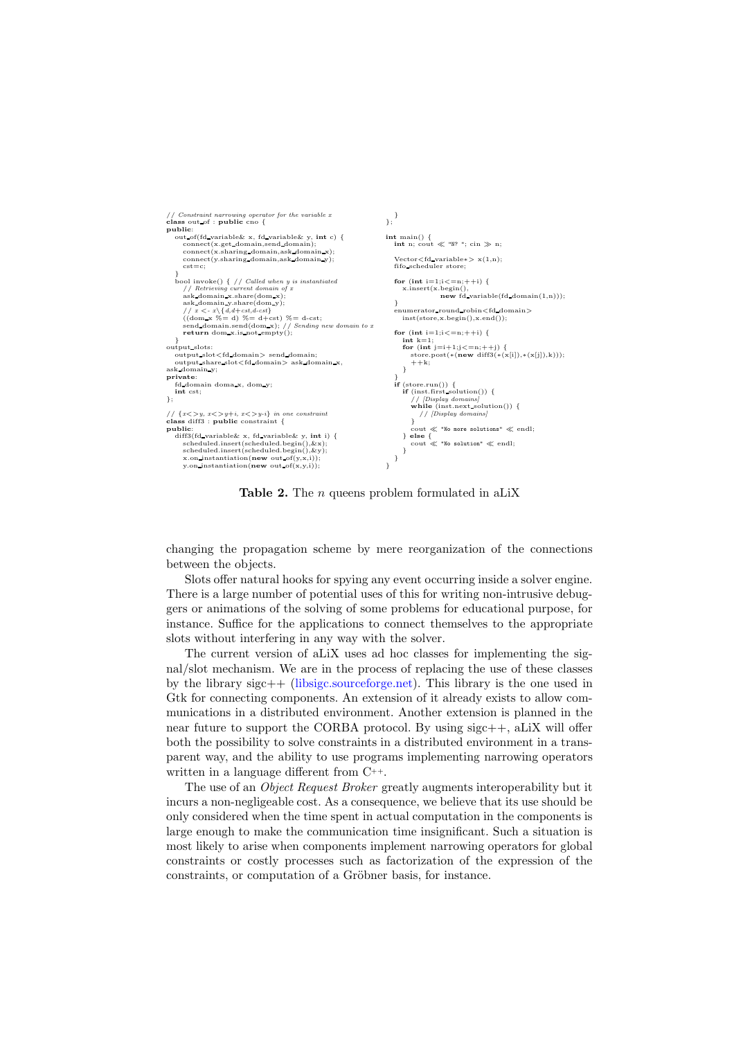

<span id="page-8-0"></span>**Table 2.** The  $n$  queens problem formulated in aLiX

changing the propagation scheme by mere reorganization of the connections between the objects.

Slots offer natural hooks for spying any event occurring inside a solver engine. There is a large number of potential uses of this for writing non-intrusive debuggers or animations of the solving of some problems for educational purpose, for instance. Suffice for the applications to connect themselves to the appropriate slots without interfering in any way with the solver.

The current version of aLiX uses ad hoc classes for implementing the signal/slot mechanism. We are in the process of replacing the use of these classes by the library sigc++ [\(libsigc.sourceforge.net\)](file:libsigc.sourceforge.net). This library is the one used in Gtk for connecting components. An extension of it already exists to allow communications in a distributed environment. Another extension is planned in the near future to support the CORBA protocol. By using sigc++, aLiX will offer both the possibility to solve constraints in a distributed environment in a transparent way, and the ability to use programs implementing narrowing operators written in a language different from C++.

The use of an *Object Request Broker* greatly augments interoperability but it incurs a non-negligeable cost. As a consequence, we believe that its use should be only considered when the time spent in actual computation in the components is large enough to make the communication time insignificant. Such a situation is most likely to arise when components implement narrowing operators for global constraints or costly processes such as factorization of the expression of the constraints, or computation of a Gröbner basis, for instance.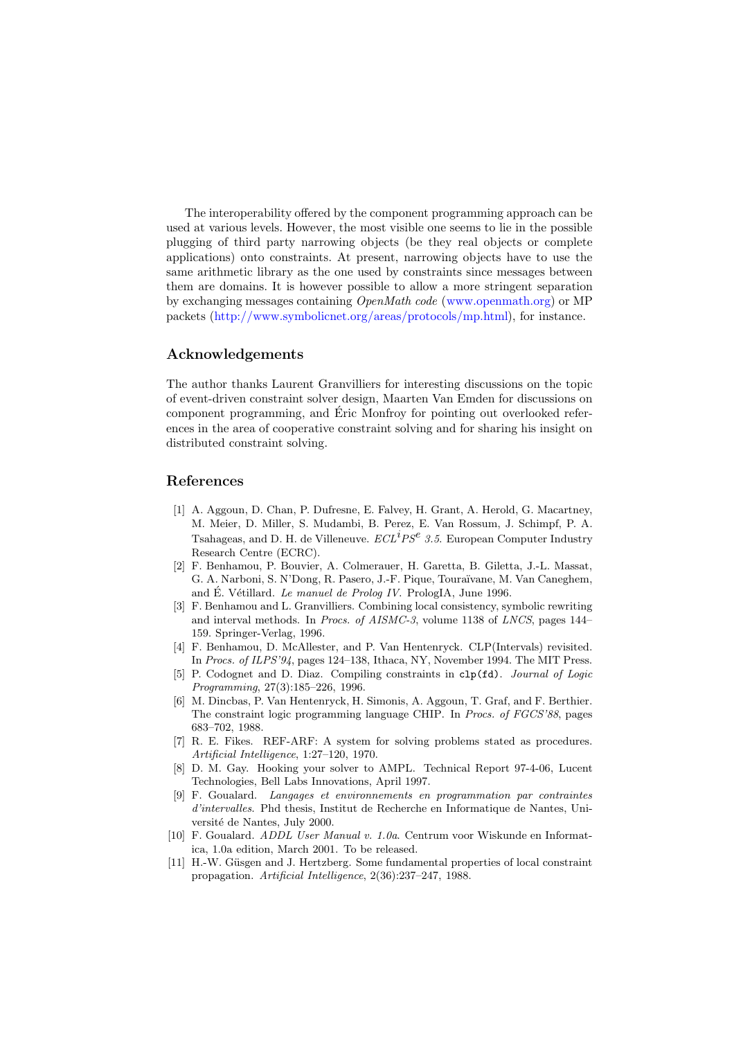The interoperability offered by the component programming approach can be used at various levels. However, the most visible one seems to lie in the possible plugging of third party narrowing objects (be they real objects or complete applications) onto constraints. At present, narrowing objects have to use the same arithmetic library as the one used by constraints since messages between them are domains. It is however possible to allow a more stringent separation by exchanging messages containing OpenMath code [\(www.openmath.org\)](file:www.openmath.org) or MP packets [\(http://www.symbolicnet.org/areas/protocols/mp.html\)](http://www.symbolicnet.org/areas/protocols/mp.html), for instance.

#### Acknowledgements

The author thanks Laurent Granvilliers for interesting discussions on the topic of event-driven constraint solver design, Maarten Van Emden for discussions on component programming, and Éric Monfroy for pointing out overlooked references in the area of cooperative constraint solving and for sharing his insight on distributed constraint solving.

#### <span id="page-9-3"></span>References

- [1] A. Aggoun, D. Chan, P. Dufresne, E. Falvey, H. Grant, A. Herold, G. Macartney, M. Meier, D. Miller, S. Mudambi, B. Perez, E. Van Rossum, J. Schimpf, P. A. Tsahageas, and D. H. de Villeneuve.  $\mathit{ECL}^i\mathit{PS}^e$  3.5. European Computer Industry Research Centre (ECRC).
- <span id="page-9-0"></span>[2] F. Benhamou, P. Bouvier, A. Colmerauer, H. Garetta, B. Giletta, J.-L. Massat, G. A. Narboni, S. N'Dong, R. Pasero, J.-F. Pique, Toura¨ıvane, M. Van Caneghem, and É. Vétillard. Le manuel de Prolog IV. PrologIA, June 1996.
- <span id="page-9-5"></span>[3] F. Benhamou and L. Granvilliers. Combining local consistency, symbolic rewriting and interval methods. In Procs. of AISMC-3, volume 1138 of LNCS, pages 144– 159. Springer-Verlag, 1996.
- <span id="page-9-8"></span>[4] F. Benhamou, D. McAllester, and P. Van Hentenryck. CLP(Intervals) revisited. In Procs. of ILPS'94, pages 124–138, Ithaca, NY, November 1994. The MIT Press.
- <span id="page-9-2"></span><span id="page-9-1"></span>[5] P. Codognet and D. Diaz. Compiling constraints in clp(fd). Journal of Logic Programming, 27(3):185–226, 1996.
- [6] M. Dincbas, P. Van Hentenryck, H. Simonis, A. Aggoun, T. Graf, and F. Berthier. The constraint logic programming language CHIP. In Procs. of FGCS'88, pages 683–702, 1988.
- <span id="page-9-6"></span>[7] R. E. Fikes. REF-ARF: A system for solving problems stated as procedures. Artificial Intelligence, 1:27–120, 1970.
- <span id="page-9-9"></span>[8] D. M. Gay. Hooking your solver to AMPL. Technical Report 97-4-06, Lucent Technologies, Bell Labs Innovations, April 1997.
- <span id="page-9-4"></span>[9] F. Goualard. Langages et environnements en programmation par contraintes d'intervalles. Phd thesis, Institut de Recherche en Informatique de Nantes, Université de Nantes, July 2000.
- <span id="page-9-10"></span>[10] F. Goualard. ADDL User Manual v. 1.0a. Centrum voor Wiskunde en Informatica, 1.0a edition, March 2001. To be released.
- <span id="page-9-7"></span>[11] H.-W. Güsgen and J. Hertzberg. Some fundamental properties of local constraint propagation. Artificial Intelligence, 2(36):237–247, 1988.